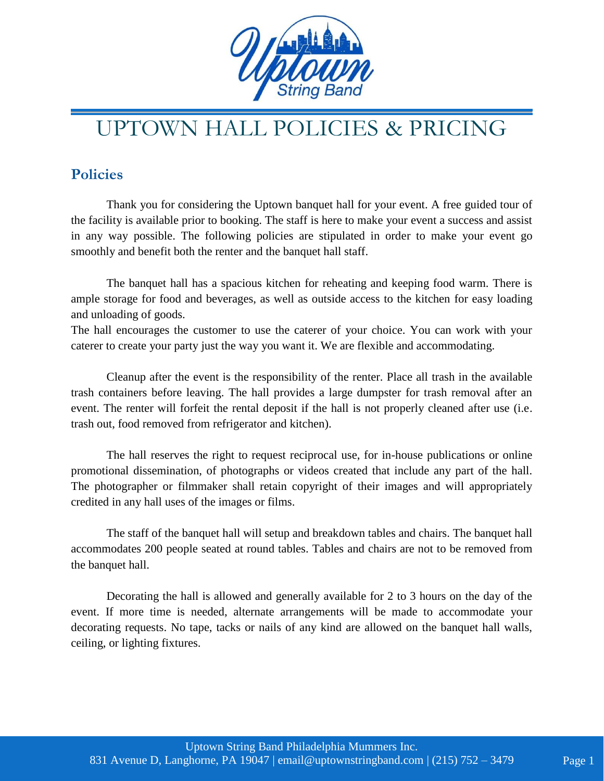

## UPTOWN HALL POLICIES & PRICING

## **Policies**

Thank you for considering the Uptown banquet hall for your event. A free guided tour of the facility is available prior to booking. The staff is here to make your event a success and assist in any way possible. The following policies are stipulated in order to make your event go smoothly and benefit both the renter and the banquet hall staff.

The banquet hall has a spacious kitchen for reheating and keeping food warm. There is ample storage for food and beverages, as well as outside access to the kitchen for easy loading and unloading of goods.

The hall encourages the customer to use the caterer of your choice. You can work with your caterer to create your party just the way you want it. We are flexible and accommodating.

Cleanup after the event is the responsibility of the renter. Place all trash in the available trash containers before leaving. The hall provides a large dumpster for trash removal after an event. The renter will forfeit the rental deposit if the hall is not properly cleaned after use (i.e. trash out, food removed from refrigerator and kitchen).

The hall reserves the right to request reciprocal use, for in-house publications or online promotional dissemination, of photographs or videos created that include any part of the hall. The photographer or filmmaker shall retain copyright of their images and will appropriately credited in any hall uses of the images or films.

The staff of the banquet hall will setup and breakdown tables and chairs. The banquet hall accommodates 200 people seated at round tables. Tables and chairs are not to be removed from the banquet hall.

Decorating the hall is allowed and generally available for 2 to 3 hours on the day of the event. If more time is needed, alternate arrangements will be made to accommodate your decorating requests. No tape, tacks or nails of any kind are allowed on the banquet hall walls, ceiling, or lighting fixtures.